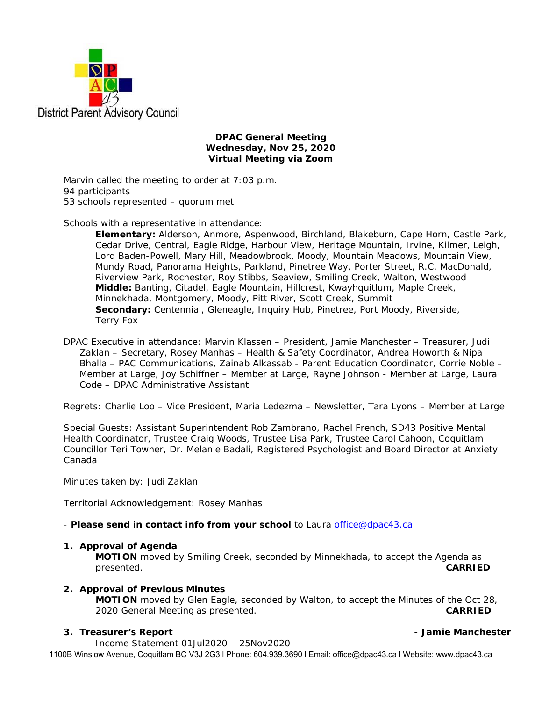

## **DPAC General Meeting Wednesday, Nov 25, 2020 Virtual Meeting via Zoom**

Marvin called the meeting to order at 7:03 p.m. 94 participants 53 schools represented – quorum met

Schools with a representative in attendance:

**Elementary:** Alderson, Anmore, Aspenwood, Birchland, Blakeburn, Cape Horn, Castle Park, Cedar Drive, Central, Eagle Ridge, Harbour View, Heritage Mountain, Irvine, Kilmer, Leigh, Lord Baden-Powell, Mary Hill, Meadowbrook, Moody, Mountain Meadows, Mountain View, Mundy Road, Panorama Heights, Parkland, Pinetree Way, Porter Street, R.C. MacDonald, Riverview Park, Rochester, Roy Stibbs, Seaview, Smiling Creek, Walton, Westwood **Middle:** Banting, Citadel, Eagle Mountain, Hillcrest, Kwayhquitlum, Maple Creek, Minnekhada, Montgomery, Moody, Pitt River, Scott Creek, Summit **Secondary:** Centennial, Gleneagle, Inquiry Hub, Pinetree, Port Moody, Riverside, Terry Fox

DPAC Executive in attendance: Marvin Klassen – President, Jamie Manchester – Treasurer, Judi Zaklan – Secretary, Rosey Manhas – Health & Safety Coordinator, Andrea Howorth & Nipa Bhalla – PAC Communications, Zainab Alkassab - Parent Education Coordinator, Corrie Noble – Member at Large, Joy Schiffner – Member at Large, Rayne Johnson - Member at Large, Laura Code – DPAC Administrative Assistant

Regrets: Charlie Loo – Vice President, Maria Ledezma – Newsletter, Tara Lyons – Member at Large

Special Guests: Assistant Superintendent Rob Zambrano, Rachel French, SD43 Positive Mental Health Coordinator, Trustee Craig Woods, Trustee Lisa Park, Trustee Carol Cahoon, Coquitlam Councillor Teri Towner, Dr. Melanie Badali, Registered Psychologist and Board Director at Anxiety Canada

Minutes taken by: Judi Zaklan

Territorial Acknowledgement: Rosey Manhas

### - *Please send in contact info from your school* to Laura office@dpac43.ca

### **1. Approval of Agenda**

**MOTION** moved by *Smiling Creek*, seconded by *Minnekhada*, to accept the Agenda as presented. **CARRIED** 

## **2. Approval of Previous Minutes**

**MOTION** moved by *Glen Eagle*, seconded by *Walton*, to accept the Minutes of the Oct 28, 2020 General Meeting as presented. **CARRIED** 

## **3. Treasurer's Report - Jamie Manchester**

<sup>−</sup> Income Statement 01Jul2020 – 25Nov2020

1100B Winslow Avenue, Coquitlam BC V3J 2G3 l Phone: 604.939.3690 l Email: office@dpac43.ca l Website: www.dpac43.ca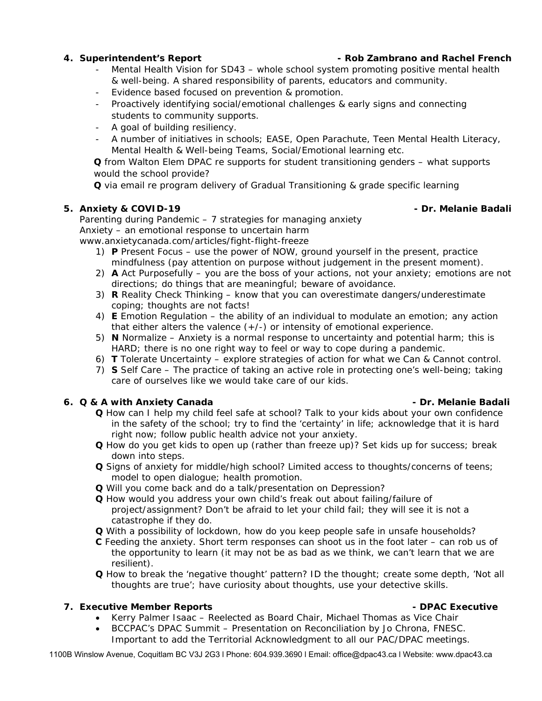- Mental Health Vision for SD43 whole school system promoting positive mental health & well-being. A shared responsibility of parents, educators and community.
- Evidence based focused on prevention & promotion.
- Proactively identifying social/emotional challenges & early signs and connecting students to community supports.
- A goal of building resiliency.
- A number of initiatives in schools; EASE, Open Parachute, Teen Mental Health Literacy, Mental Health & Well-being Teams, Social/Emotional learning etc.

**Q** from Walton Elem DPAC re supports for student transitioning genders – what supports would the school provide?

**Q** via email re program delivery of Gradual Transitioning & grade specific learning

## **5. Anxiety & COVID-19 - Dr. Melanie Badali**

Parenting during Pandemic – 7 strategies for managing anxiety Anxiety – an emotional response to uncertain harm

www.anxietycanada.com/articles/fight-flight-freeze

- 1) **P** Present Focus use the power of NOW, ground yourself in the present, practice mindfulness (pay attention on purpose without judgement in the present moment).
- 2) **A** Act Purposefully you are the boss of your actions, not your anxiety; emotions are not directions; do things that are meaningful; beware of avoidance.
- 3) **R** Reality Check Thinking know that you can overestimate dangers/underestimate coping; thoughts are not facts!
- 4) **E** Emotion Regulation the ability of an individual to modulate an emotion; any action that either alters the valence  $(+/-)$  or intensity of emotional experience.
- 5) **N** Normalize Anxiety is a normal response to uncertainty and potential harm; this is HARD; there is no one right way to feel or way to cope during a pandemic.
- 6) **T** Tolerate Uncertainty explore strategies of action for what we Can & Cannot control.
- 7) **S** Self Care The practice of taking an active role in protecting one's well-being; taking care of ourselves like we would take care of our kids.

# **6.** Q & A with Anxiety Canada **- Dr. Melanie Badali - Dr. Melanie Badali**

- **Q** How can I help my child feel safe at school? Talk to your kids about your own confidence in the safety of the school; try to find the 'certainty' in life; acknowledge that it is hard right now; follow public health advice not your anxiety.
- **Q** How do you get kids to open up (rather than freeze up)? Set kids up for success; break down into steps.
- **Q** Signs of anxiety for middle/high school? Limited access to thoughts/concerns of teens; model to open dialogue; health promotion.
- **Q** Will you come back and do a talk/presentation on Depression?
- **Q** How would you address your own child's freak out about failing/failure of project/assignment? Don't be afraid to let your child fail; they will see it is not a catastrophe if they do.
- **Q** With a possibility of lockdown, how do you keep people safe in unsafe households?
- **C** Feeding the anxiety. Short term responses can shoot us in the foot later can rob us of the opportunity to learn (it may not be as bad as we think, we can't learn that we are resilient).
- **Q** How to break the 'negative thought' pattern? ID the thought; create some depth, 'Not all thoughts are true'; have curiosity about thoughts, use your detective skills.

# **7. Executive Member Reports - DPAC Executive**

- Kerry Palmer Isaac Reelected as Board Chair, Michael Thomas as Vice Chair
	- BCCPAC's DPAC Summit Presentation on Reconciliation by Jo Chrona, FNESC. Important to add the Territorial Acknowledgment to all our PAC/DPAC meetings.

1100B Winslow Avenue, Coquitlam BC V3J 2G3 l Phone: 604.939.3690 l Email: office@dpac43.ca l Website: www.dpac43.ca

**4. Superintendent's Report - Rob Zambrano and Rachel French**